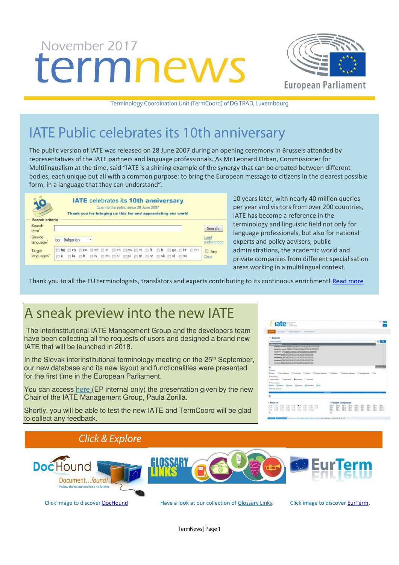# November 2017 termnew



Terminology Coordination Unit (TermCoord) of DG TRAD, Luxembourg

# **IATE Public celebrates its 10th anniversary**

The public version of IATE was released on 28 June 2007 during an opening ceremony in Brussels attended by representatives of the IATE partners and language professionals. As Mr Leonard Orban, Commissioner for Multilingualism at the time, said "IATE is a shining example of the synergy that can be created between different bodies, each unique but all with a common purpose: to bring the European message to citizens in the clearest possible form, in a language that they can understand".

|                                                | <b>IATE</b> celebrates its 10th anniversary<br>Open to the public since 28 June 2007<br>Thank you for bringing us this far and appreciating our work! |                   |
|------------------------------------------------|-------------------------------------------------------------------------------------------------------------------------------------------------------|-------------------|
| Search criteria<br>Search<br>term <sup>'</sup> |                                                                                                                                                       | Search            |
| Source<br>language <sup>®</sup>                | ba - Bulgarian                                                                                                                                        | 0a<br>preferences |
| Target<br>languages                            | bg cs da de el en es et fi<br>in miga im hr mhu<br>Fila Filt Filv Fint Fint Fipt Fipt Firo Fisk Fist Fisv<br>門式                                       | Any<br>Clear      |

10 years later, with nearly 40 million queries per year and visitors from over 200 countries, IATE has become a reference in the terminology and linguistic field not only for language professionals, but also for national experts and policy advisers, public administrations, the academic world and private companies from different specialisation areas working in a multilingual context.

Thank you to all the EU terminologists, translators and experts contributing to its continuous enrichment! [Read more](http://termcoord.eu/2017/06/happy-10th-birthday-iate/)

# A sneak preview into the new IATE

 The interinstitutional IATE Management Group and the developers team have been collecting all the requests of users and designed a brand new IATE that will be launched in 2018.

In the Slovak interinstitutional terminology meeting on the 25<sup>th</sup> September, our new database and its new layout and functionalities were presented for the first time in the European Parliament.

You can access [here \(](http://tradportal.ep.parl.union.eu/terminology/files/2017/09/IATE-2_Presentation_-interinstitutional-_meetings.pdf)EP internal only) the presentation given by the new Chair of the IATE Management Group, Paula Zorilla.

Shortly, you will be able to test the new IATE and TermCoord will be glad to collect any feedback.

| <b>ANGEL CARD COLLECTION</b><br><b>Printed Security</b><br>delivery painpoint ("SEE") and in Chinese in primary of concerns<br>WallAller claim COST EXTINGSTS COTS COST<br>INVANIA AD CORELACTO COTTO COTTO CONTINUE<br>receives (CASE) AND RIGHTS CANNA CANNOTS<br>INVANN CRELL ROOM ELECTR ELECTRICS<br>INVENTORES ESSES CALLS CATEDATE TO<br>ANNAHA ESECURITA COTA CONTRACIONENTE<br><sup>K</sup> Future<br>Mixe Chevalence Chemise Classe Classewicken Classes Classewicken Classes Call<br>* Hutchman<br>Chaines Clusters Bolved Chroni-<br>4 Sacro Aviene<br>Here Helen Heres Henni Hearten Hel-<br>Filter for dereign |  |
|------------------------------------------------------------------------------------------------------------------------------------------------------------------------------------------------------------------------------------------------------------------------------------------------------------------------------------------------------------------------------------------------------------------------------------------------------------------------------------------------------------------------------------------------------------------------------------------------------------------------------|--|
|                                                                                                                                                                                                                                                                                                                                                                                                                                                                                                                                                                                                                              |  |
|                                                                                                                                                                                                                                                                                                                                                                                                                                                                                                                                                                                                                              |  |



Click image to discove[r DocHound](http://termcoord.eu/dochound/) Have a look at our collection of [Glossary Links.](http://termcoord.eu/glossarylinks/) Click image to discove[r EurTerm.](https://webgate.ec.europa.eu/fpfis/wikis/pages/viewpage.action?ticket=ST-6580996-Z2WF2iTmYsR9lUn0vKlUJpe2tfaCmxuR1LujKNHYxCmXvIpB7PF223nNagmte6tqBS8TCUEebRtFJyZjna80NW-Jj71zxYb8yrHGgJfkcIzza0-mU0zxIStw7CIy1roHRSnGFAw3NTBsqW1CglIL2lldAv&spaceKey=iatetp&title=Home)

TermNews | Page 1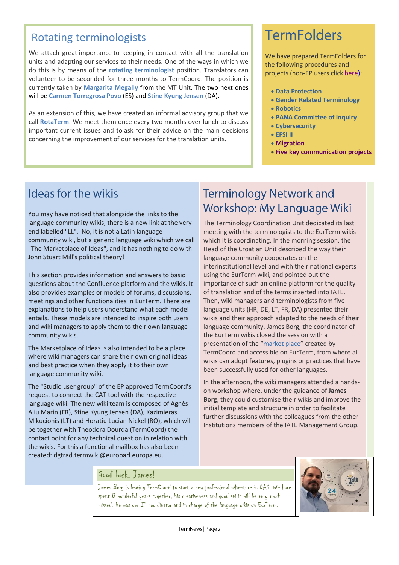#### [Rotating terminologists](http://tradportal.ep.parl.union.eu/terminology/call-for-rotating-terminologist-for-2017/)

We attach great importance to keeping in contact with all the translation units and adapting our services to their needs. One of the ways in which we do this is by means of the **rotating terminologist** position. Translators can volunteer to be seconded for three months to TermCoord. The position is currently taken by **Margarita Megally** from the MT Unit. The two next ones will be **Carmen Torregrosa Povo** (ES) and **Stine Kyung Jensen** (DA).

As an extension of this, we have created an informal advisory group that we call **RotaTerm**. We meet them once every two months over lunch to discuss important current issues and to ask for their advice on the main decisions concerning the improvement of our services for the translation units.

# **TermFolders**

We have prepared TermFolders for the following procedures and projects (non-EP users clic[k here\)](http://termcoord.eu/iate/termfolders/):

- **[Data Protection](http://tradportal.ep.parl.union.eu/terminology/?p=10910)**
- **[Gender Related Terminology](http://tradportal.ep.parl.union.eu/terminology/plato-termfolders/gender-sensitive-terminology/)**
- **[Robotics](http://tradportal.ep.parl.union.eu/terminology/plato-termfolders/robotics-20152103inl/)**
- **[PANA Committee of Inquiry](http://tradportal.ep.parl.union.eu/terminology/plato-termfolders/pana-committee-of-inquiry-20172013ini/)**
- **[Cybersecurity](http://tradportal.ep.parl.union.eu/terminology/plato-termfolders/cybersecurity/)**
- **[EFSI II](http://tradportal.ep.parl.union.eu/terminology/plato-termfolders/european-fund-for-strategic-investments-20150009-cod/)**
- **[Migration](http://tradportal.ep.parl.union.eu/terminology/?p=10065)**
- **[Five key communication projects](http://tradportal.ep.parl.union.eu/terminology/?p=10084)**

## **Ideas for the wikis**

You may have noticed that alongside the links to the language community wikis, there is a new link at the very end labelled "**LL**". No, it is not a Latin language community wiki, but a generic language wiki which we call "The Marketplace of Ideas", and it has nothing to do with John Stuart Mill's political theory!

This section provides information and answers to basic questions about the Confluence platform and the wikis. It also provides examples or models of forums, discussions, meetings and other functionalities in EurTerm. There are explanations to help users understand what each model entails. These models are intended to inspire both users and wiki managers to apply them to their own language community wikis.

The Marketplace of Ideas is also intended to be a place where wiki managers can share their own original ideas and best practice when they apply it to their own language community wiki.

The "Studio user group" of the EP approved TermCoord's request to connect the CAT tool with the respective language wiki. The new wiki team is composed of Agnès Aliu Marin (FR), Stine Kyung Jensen (DA), Kazimieras Mikucionis (LT) and Horatiu Lucian Nickel (RO), which will be together with Theodora Dourda (TermCoord) the contact point for any technical question in relation with the wikis. For this a functional mailbox has also been created: dgtrad.termwiki@europarl.europa.eu.

#### **Terminology Network and** Workshop: My Language Wiki

The Terminology Coordination Unit dedicated its last meeting with the terminologists to the EurTerm wikis which it is coordinating. In the morning session, the Head of the Croatian Unit described the way their language community cooperates on the interinstitutional level and with their national experts using the EurTerm wiki, and pointed out the importance of such an online platform for the quality of translation and of the terms inserted into IATE. Then, wiki managers and terminologists from five language units (HR, DE, LT, FR, DA) presented their wikis and their approach adapted to the needs of their language community. James Borg, the coordinator of the EurTerm wikis closed the session with a presentation of the "[market place](https://webgate.ec.europa.eu/fpfis/wikis/display/HUTERM/LL_Term_Home)" created by TermCoord and accessible on EurTerm, from where all wikis can adopt features, plugins or practices that have been successfully used for other languages.

In the afternoon, the wiki managers attended a handson workshop where, under the guidance of **James Borg**, they could customise their wikis and improve the initial template and structure in order to facilitate further discussions with the colleagues from the other Institutions members of the IATE Management Group.

#### Good luck, James!

James Borg is leaving TermCoord to start a new professional adventure in DAS. We have spent 8 wonderful years together, his creativeness and good spirit will be very much missed. He was our IT coordinator and in charge of the language wikis on EurTerm.

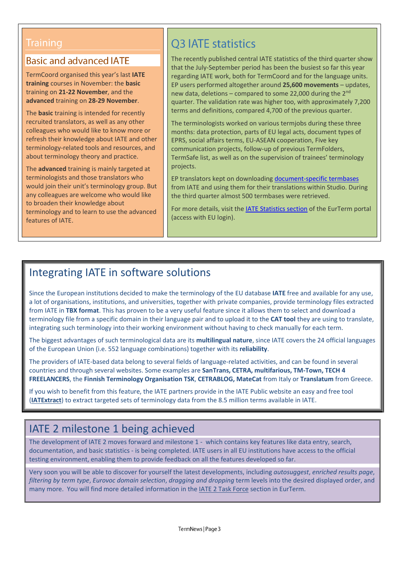#### Training

#### **Basic and advanced IATE**

TermCoord organised this year's last **IATE training** courses in November: the **basic** training on **21-22 November**, and the **advanced** training on **28-29 November**.

The **basic** training is intended for recently recruited translators, as well as any other colleagues who would like to know more or refresh their knowledge about IATE and other terminology-related tools and resources, and about terminology theory and practice.

The **advanced** training is mainly targeted at terminologists and those translators who would join their unit's terminology group. But any colleagues are welcome who would like to broaden their knowledge about terminology and to learn to use the advanced features of IATE.

## **O3 IATE statistics**

The recently published central IATE statistics of the third quarter show that the July-September period has been the busiest so far this year regarding IATE work, both for TermCoord and for the language units. EP users performed altogether around **25,600 movements** – updates, new data, deletions – compared to some 22,000 during the  $2^{nd}$ quarter. The validation rate was higher too, with approximately 7,200 terms and definitions, compared 4,700 of the previous quarter.

The terminologists worked on various termjobs during these three months: data protection, parts of EU legal acts, document types of EPRS, social affairs terms, EU-ASEAN cooperation, Five key communication projects, follow-up of previous TermFolders, TermSafe list, as well as on the supervision of trainees' terminology projects.

EP translators kept on downloadin[g document-specific termbases](http://tradportal.ep.parl.union.eu/terminology/terminology-in-studio/how-to-use-termbases-in-studio/) from IATE and using them for their translations within Studio. During the third quarter almost 500 termbases were retrieved.

For more details, visit th[e IATE Statistics section](https://webgate.ec.europa.eu/fpfis/wikis/display/iatetp/IATE+statistics) of the EurTerm portal (access with EU login).

#### Integrating IATE in software solutions

Since the European institutions decided to make the terminology of the EU database **IATE** free and available for any use, a lot of organisations, institutions, and universities, together with private companies, provide terminology files extracted from IATE in **TBX format**. This has proven to be a very useful feature since it allows them to select and download a terminology file from a specific domain in their language pair and to upload it to the **CAT tool** they are using to translate, integrating such terminology into their working environment without having to check manually for each term.

The biggest advantages of such terminological data are its **multilingual nature**, since IATE covers the 24 official languages of the European Union (i.e. 552 language combinations) together with its **reliability**.

The providers of IATE-based data belong to several fields of language-related activities, and can be found in several countries and through several websites. Some examples are **SanTrans, CETRA, multifarious, TM-Town, TECH 4 FREELANCERS**, the **Finnish Terminology Organisation TSK**, **CETRABLOG, MateCat** from Italy or **Translatum** from Greece.

If you wish to benefit from this feature, the IATE partners provide in the IATE Public website an easy and free tool (**[IATExtract](http://iate.europa.eu/tbxPageDownload.do)**) to extract targeted sets of terminology data from the 8.5 million terms available in IATE.

#### IATE 2 milestone 1 being achieved

The development of IATE 2 moves forward and milestone 1 - which contains key features like data entry, search, documentation, and basic statistics - is being completed. IATE users in all EU institutions have access to the official testing environment, enabling them to provide feedback on all the features developed so far.

Very soon you will be able to discover for yourself the latest developments, including *autosuggest*, *enriched results page*, *filtering by term type*, *Eurovoc domain selection*, *dragging and dropping* term levels into the desired displayed order, and many more. You will find more detailed information in the [IATE 2 Task Force](https://webgate.ec.europa.eu/fpfis/wikis/display/iatetp/IATE+2+Task+Force) section in EurTerm.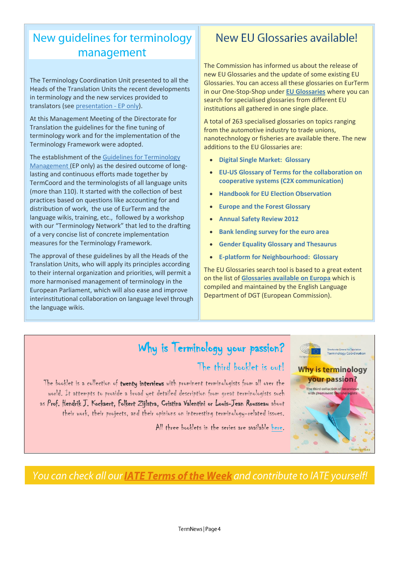#### New guidelines for terminology management

The Terminology Coordination Unit presented to all the Heads of the Translation Units the recent developments in terminology and the new services provided to translators (see [presentation](http://tradportal.ep.parl.union.eu/terminology/files/2017/05/Pres_DirB_HoU_Meeting_2017_final.pdf) - EP only).

At this Management Meeting of the Directorate for Translation the guidelines for the fine tuning of terminology work and for the implementation of the Terminology Framework were adopted.

The establishment of the Guidelines for Terminology Management (EP only) as the desired outcome of longlasting and continuous efforts made together by TermCoord and the terminologists of all language units (more than 110). It started with the collection of best practices based on questions like accounting for and distribution of work, the use of EurTerm and the language wikis, training, etc., followed by a workshop with our "Terminology Network" that led to the drafting of a very concise list of concrete implementation measures for the Terminology Framework.

The approval of these guidelines by all the Heads of the Translation Units, who will apply its principles according to their internal organization and priorities, will permit a more harmonised management of terminology in the European Parliament, which will also ease and improve interinstitutional collaboration on language level through the language wikis.

#### New FU Glossaries available!

The Commission has informed us about the release of new EU Glossaries and the update of some existing EU Glossaries. You can access all these glossaries on EurTerm in our One-Stop-Shop under **[EU Glossaries](https://webgate.ec.europa.eu/fpfis/wikis/display/iatetp/EU+Glossaries)** where you can search for specialised glossaries from different EU institutions all gathered in one single place.

A total of 263 specialised glossaries on topics ranging from the automotive industry to trade unions, nanotechnology or fisheries are available there. The new additions to the EU Glossaries are:

- **[Digital Single Market: Glossary](https://ec.europa.eu/digital-single-market/en/glossary)**
- **[EU-US Glossary of Terms for the collaboration on](https://ec.europa.eu/digital-single-market/en/news/march-2012-release-eu-us-glossary-terms-collaboration-cooperative-systems-c2x-communication)  [cooperative systems \(C2X communication\)](https://ec.europa.eu/digital-single-market/en/news/march-2012-release-eu-us-glossary-terms-collaboration-cooperative-systems-c2x-communication)**
- **[Handbook for EU Election Observation](http://eeas.europa.eu/archives/docs/eueom/pdf/handbook-eueom-en-2nd-edition_en.pdf)**
- **[Europe and the Forest Glossary](http://www.europarl.europa.eu/workingpapers/forest/gloss_en.htm)**
- **[Annual Safety Review 2012](https://bookshop.europa.eu/en/easa-annual-safety-review-2012-pbTOAA13001/)**
- **[Bank lending survey for the euro area](https://bookshop.europa.eu/en/bank-lending-survey-for-the-euro-area-pbQB0416561/?CatalogCategoryID=SIIKABst.SEAAAEjGJEY4e5L)**
- **[Gender Equality Glossary and Thesaurus](http://eige.europa.eu/rdc/thesaurus)**
- **[E-platform for Neighbourhood: Glossary](https://ids.euforneighbourhood.eu/glossary/)**

The EU Glossaries search tool is based to a great extent on the list of **[Glossaries available on Europa](https://ec.europa.eu/info/files/english-resources-eu-glossaries-available-eus-website_en)** which is compiled and maintained by the English Language Department of DGT (European Commission).

## Why is Terminology your passion?

#### The third booklet is out!

The booklet is a collection of twenty interviews with prominent terminologists from all over the world. It attempts to provide a broad yet detailed description from great terminologists such as Prof. Hendrik J. Kockaert, Folkert Zijlstra, Cristina Valentini or Louis-Jean Rousseau about their work, their projects, and their opinions on interesting terminology-related issues.

All three booklets in the series are available [here.](http://termcoord.eu/termania/why-is-terminology-your-passion/)



Directorate General for Translation<br>Terminology Coordination

You can check all our **IATE Terms of the Week** and contribute to IATE yourself!